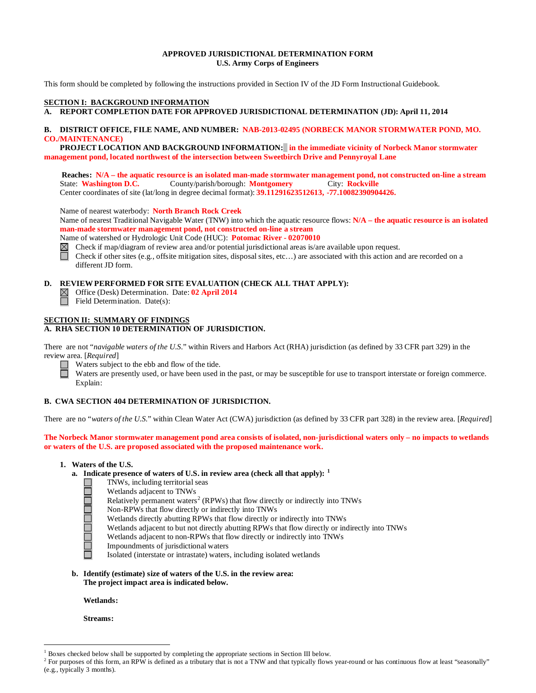# **APPROVED JURISDICTIONAL DETERMINATION FORM U.S. Army Corps of Engineers**

This form should be completed by following the instructions provided in Section IV of the JD Form Instructional Guidebook.

# **SECTION I: BACKGROUND INFORMATION**

**A. REPORT COMPLETION DATE FOR APPROVED JURISDICTIONAL DETERMINATION (JD): April 11, 2014** 

# **B. DISTRICT OFFICE, FILE NAME, AND NUMBER: NAB-2013-02495 (NORBECK MANOR STORMWATER POND, MO. CO./MAINTENANCE)**

 **PROJECT LOCATION AND BACKGROUND INFORMATION: in the immediate vicinity of Norbeck Manor stormwater management pond, located northwest of the intersection between Sweetbirch Drive and Pennyroyal Lane**

**Reaches: N/A – the aquatic resource is an isolated man-made stormwater management pond, not constructed on-line a stream**<br>State: **Washington D.C.** County/parish/borough: **Montgomery** City: **Rockville** County/parish/borough: **Montgomery** City: **Rockville** Center coordinates of site (lat/long in degree decimal format): **39.11291623512613, -77.10082390904426.** 

Name of nearest waterbody: **North Branch Rock Creek**

Name of nearest Traditional Navigable Water (TNW) into which the aquatic resource flows: **N/A – the aquatic resource is an isolated man-made stormwater management pond, not constructed on-line a stream**

Name of watershed or Hydrologic Unit Code (HUC): **Potomac River - 02070010**

- $\boxtimes$ Check if map/diagram of review area and/or potential jurisdictional areas is/are available upon request.
- Check if other sites (e.g., offsite mitigation sites, disposal sites, etc…) are associated with this action and are recorded on a different JD form.

# **D. REVIEW PERFORMED FOR SITE EVALUATION (CHECK ALL THAT APPLY):**<br> **S** Office (Desk) Determination. Date: **02 April 2014**

- Office (Desk) Determination. Date: **02 April 2014**
- П Field Determination. Date(s):

# **SECTION II: SUMMARY OF FINDINGS**

# **A. RHA SECTION 10 DETERMINATION OF JURISDICTION.**

There are not "*navigable waters of the U.S.*" within Rivers and Harbors Act (RHA) jurisdiction (as defined by 33 CFR part 329) in the review area. [*Required*]

- Waters subject to the ebb and flow of the tide.
	- Waters are presently used, or have been used in the past, or may be susceptible for use to transport interstate or foreign commerce. Explain:

## **B. CWA SECTION 404 DETERMINATION OF JURISDICTION.**

There are no "*waters of the U.S.*" within Clean Water Act (CWA) jurisdiction (as defined by 33 CFR part 328) in the review area. [*Required*]

**The Norbeck Manor stormwater management pond area consists of isolated, non-jurisdictional waters only – no impacts to wetlands or waters of the U.S. are proposed associated with the proposed maintenance work.** 

## **1. Waters of the U.S.**

ocholololo

- **a. Indicate presence of waters of U.S. in review area (check all that apply): [1](#page-0-0)**
	- TNWs, including territorial seas
	- Wetlands adjacent to TNWs
	- Relatively permanent waters<sup>[2](#page-0-1)</sup> (RPWs) that flow directly or indirectly into TNWs
	- Non-RPWs that flow directly or indirectly into TNWs
	- Wetlands directly abutting RPWs that flow directly or indirectly into TNWs
	- Wetlands adjacent to but not directly abutting RPWs that flow directly or indirectly into TNWs
		- Wetlands adjacent to non-RPWs that flow directly or indirectly into TNWs
	- Impoundments of jurisdictional waters
	- Isolated (interstate or intrastate) waters, including isolated wetlands
- **b. Identify (estimate) size of waters of the U.S. in the review area: The project impact area is indicated below.**

**Wetlands:**

**Streams:** 

 <sup>1</sup> Boxes checked below shall be supported by completing the appropriate sections in Section III below.

<span id="page-0-1"></span><span id="page-0-0"></span> $^2$  For purposes of this form, an RPW is defined as a tributary that is not a TNW and that typically flows year-round or has continuous flow at least "seasonally" (e.g., typically 3 months).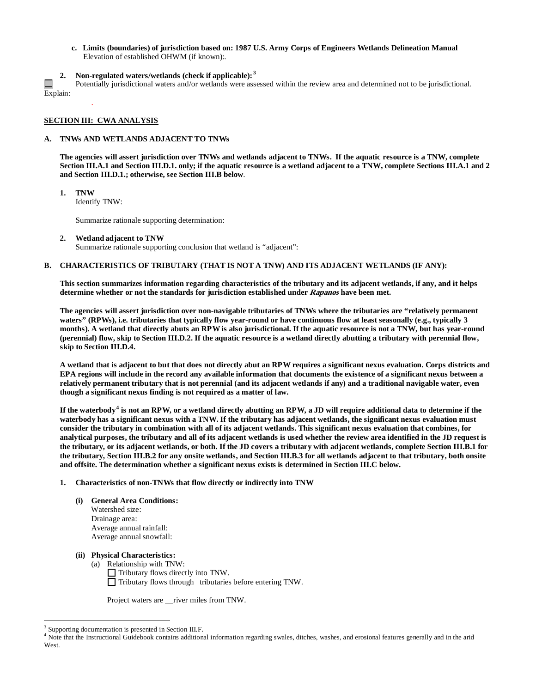- **c. Limits (boundaries) of jurisdiction based on: 1987 U.S. Army Corps of Engineers Wetlands Delineation Manual** Elevation of established OHWM (if known):.
- **2. Non-regulated waters/wetlands (check if applicable): [3](#page-1-0)**

 $\Box$ Potentially jurisdictional waters and/or wetlands were assessed within the review area and determined not to be jurisdictional. Explain:

## **SECTION III: CWA ANALYSIS**

.

#### **A. TNWs AND WETLANDS ADJACENT TO TNWs**

**The agencies will assert jurisdiction over TNWs and wetlands adjacent to TNWs. If the aquatic resource is a TNW, complete Section III.A.1 and Section III.D.1. only; if the aquatic resource is a wetland adjacent to a TNW, complete Sections III.A.1 and 2 and Section III.D.1.; otherwise, see Section III.B below**.

**1. TNW** 

Identify TNW:

Summarize rationale supporting determination:

**2. Wetland adjacent to TNW** 

Summarize rationale supporting conclusion that wetland is "adjacent":

# **B. CHARACTERISTICS OF TRIBUTARY (THAT IS NOT A TNW) AND ITS ADJACENT WETLANDS (IF ANY):**

**This section summarizes information regarding characteristics of the tributary and its adjacent wetlands, if any, and it helps determine whether or not the standards for jurisdiction established under Rapanos have been met.** 

**The agencies will assert jurisdiction over non-navigable tributaries of TNWs where the tributaries are "relatively permanent waters" (RPWs), i.e. tributaries that typically flow year-round or have continuous flow at least seasonally (e.g., typically 3 months). A wetland that directly abuts an RPW is also jurisdictional. If the aquatic resource is not a TNW, but has year-round (perennial) flow, skip to Section III.D.2. If the aquatic resource is a wetland directly abutting a tributary with perennial flow, skip to Section III.D.4.**

**A wetland that is adjacent to but that does not directly abut an RPW requires a significant nexus evaluation. Corps districts and EPA regions will include in the record any available information that documents the existence of a significant nexus between a relatively permanent tributary that is not perennial (and its adjacent wetlands if any) and a traditional navigable water, even though a significant nexus finding is not required as a matter of law.**

**If the waterbody[4](#page-1-1) is not an RPW, or a wetland directly abutting an RPW, a JD will require additional data to determine if the waterbody has a significant nexus with a TNW. If the tributary has adjacent wetlands, the significant nexus evaluation must consider the tributary in combination with all of its adjacent wetlands. This significant nexus evaluation that combines, for analytical purposes, the tributary and all of its adjacent wetlands is used whether the review area identified in the JD request is the tributary, or its adjacent wetlands, or both. If the JD covers a tributary with adjacent wetlands, complete Section III.B.1 for the tributary, Section III.B.2 for any onsite wetlands, and Section III.B.3 for all wetlands adjacent to that tributary, both onsite and offsite. The determination whether a significant nexus exists is determined in Section III.C below.**

## **1. Characteristics of non-TNWs that flow directly or indirectly into TNW**

**(i) General Area Conditions:** Watershed size:

Drainage area: Average annual rainfall: Average annual snowfall:

#### **(ii) Physical Characteristics:**

(a) Relationship with TNW:  $\Box$  Tributary flows directly into TNW. Tributary flows through tributaries before entering TNW.

Project waters are \_\_river miles from TNW.

<span id="page-1-0"></span><sup>&</sup>lt;sup>3</sup> Supporting documentation is presented in Section III.F.

<span id="page-1-1"></span><sup>&</sup>lt;sup>4</sup> Note that the Instructional Guidebook contains additional information regarding swales, ditches, washes, and erosional features generally and in the arid West.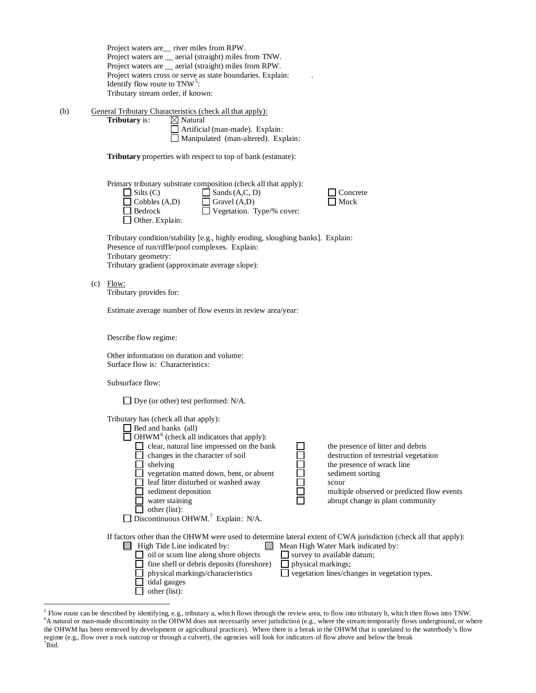(b) General Tributary Characteristics (check all that apply):<br> **Tributary** is:  $\boxtimes$  Natural **Tributary** is:

Artificial (man-made). Explain: Manipulated (man-altered). Explain:

**Tributary** properties with respect to top of bank (estimate):

Primary tributary substrate composition (check all that apply):

| $\Box$ Silts (C)       |  |
|------------------------|--|
| $\Box$ Cobbles (A,D)   |  |
| $\Box$ Bedrock         |  |
| $\Box$ Other. Explain: |  |

 $\Box$  Sands (A,C, D)  $\Box$  Concrete  $\Box$  Gravel (A,D)  $\Box$  Muck  $\Box$  Gravel (A,D) **Budden** Vegetation. Type/% cover:

Tributary condition/stability [e.g., highly eroding, sloughing banks]. Explain: Presence of run/riffle/pool complexes. Explain: Tributary geometry: Tributary gradient (approximate average slope):

 $(c)$  Flow: Tributary provides for:

Estimate average number of flow events in review area/year:

Describe flow regime:

Other information on duration and volume: Surface flow is: Characteristics:

Subsurface flow:

| Tributary has (check all that apply):<br>Bed and banks (all)<br>$\Box$ OHWM <sup>6</sup> (check all indicators that apply):<br>clear, natural line impressed on the bank<br>changes in the character of soil<br>shelving<br>vegetation matted down, bent, or absent<br>leaf litter disturbed or washed away<br>sediment deposition<br>water staining<br>other (list):<br>Discontinuous OHWM. <sup>7</sup> Explain: N/A. | the presence of litter and debris<br>destruction of terrestrial vegetation<br>the presence of wrack line<br>sediment sorting<br>scour<br>multiple observed or predicted flow events<br>abrupt change in plant community |
|-------------------------------------------------------------------------------------------------------------------------------------------------------------------------------------------------------------------------------------------------------------------------------------------------------------------------------------------------------------------------------------------------------------------------|-------------------------------------------------------------------------------------------------------------------------------------------------------------------------------------------------------------------------|
| If factors other than the OHWM were used to determine lateral extent of CWA jurisdiction (check all that apply):<br>High Tide Line indicated by:<br>oil or scum line along shore objects<br>fine shell or debris deposits (foreshore)<br>physical markings/characteristics<br>tidal gauges<br>other (list):                                                                                                             | Mean High Water Mark indicated by:<br>survey to available datum;<br>physical markings;<br>vegetation lines/changes in vegetation types.                                                                                 |

<span id="page-2-2"></span><span id="page-2-1"></span><span id="page-2-0"></span><sup>&</sup>lt;sup>5</sup> Flow route can be described by identifying, e.g., tributary a, which flows through the review area, to flow into tributary b, which then flows into TNW. <sup>6</sup>A natural or man-made discontinuity in the OHWM does not necessarily sever jurisdiction (e.g., where the stream temporarily flows underground, or where the OHWM has been removed by development or agricultural practices). Where there is a break in the OHWM that is unrelated to the waterbody's flow regime (e.g., flow over a rock outcrop or through a culvert), the agencies will look for indicators of flow above and below the break <sup>7</sup>  $7$ Ibid.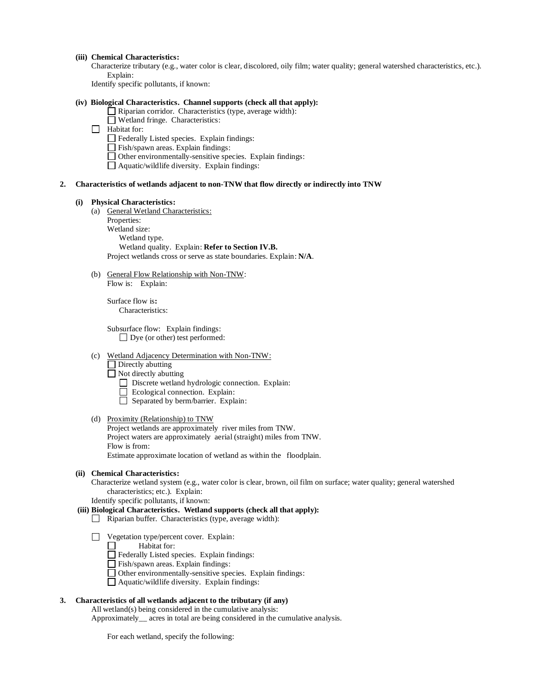#### **(iii) Chemical Characteristics:**

Characterize tributary (e.g., water color is clear, discolored, oily film; water quality; general watershed characteristics, etc.). Explain:

Identify specific pollutants, if known:

# **(iv) Biological Characteristics. Channel supports (check all that apply):**

- Riparian corridor. Characteristics (type, average width):
- Wetland fringe. Characteristics:

# $\Box$  Habitat for:

- Federally Listed species. Explain findings:
- Fish/spawn areas. Explain findings:
- $\Box$  Other environmentally-sensitive species. Explain findings:
- $\Box$  Aquatic/wildlife diversity. Explain findings:

## **2. Characteristics of wetlands adjacent to non-TNW that flow directly or indirectly into TNW**

#### **(i) Physical Characteristics:**

- (a) General Wetland Characteristics:
	- Properties:
	- Wetland size: Wetland type. Wetland quality. Explain: **Refer to Section IV.B.** Project wetlands cross or serve as state boundaries. Explain: **N/A**.
- (b) General Flow Relationship with Non-TNW: Flow is: Explain:

Surface flow is**:**  Characteristics:

Subsurface flow:Explain findings:  $\Box$  Dye (or other) test performed:

#### (c) Wetland Adjacency Determination with Non-TNW:

 $\Box$  Directly abutting

 $\hfill\Box$  <br> Not directly abutting

- Discrete wetland hydrologic connection. Explain:
- Ecological connection. Explain:
- $\Box$  Separated by berm/barrier. Explain:

## (d) Proximity (Relationship) to TNW

Project wetlands are approximately river miles from TNW. Project waters are approximately aerial (straight) miles from TNW. Flow is from: Estimate approximate location of wetland as within the floodplain.

#### **(ii) Chemical Characteristics:**

Characterize wetland system (e.g., water color is clear, brown, oil film on surface; water quality; general watershed characteristics; etc.). Explain:

Identify specific pollutants, if known:

#### **(iii) Biological Characteristics. Wetland supports (check all that apply):**

- $\Box$  Riparian buffer. Characteristics (type, average width):
- Vegetation type/percent cover. Explain:

Habitat for: П

- Federally Listed species. Explain findings:
- Fish/spawn areas. Explain findings:
- Other environmentally-sensitive species. Explain findings:
- Aquatic/wildlife diversity. Explain findings:

# **3. Characteristics of all wetlands adjacent to the tributary (if any)**

All wetland(s) being considered in the cumulative analysis:

Approximately\_\_ acres in total are being considered in the cumulative analysis.

For each wetland, specify the following: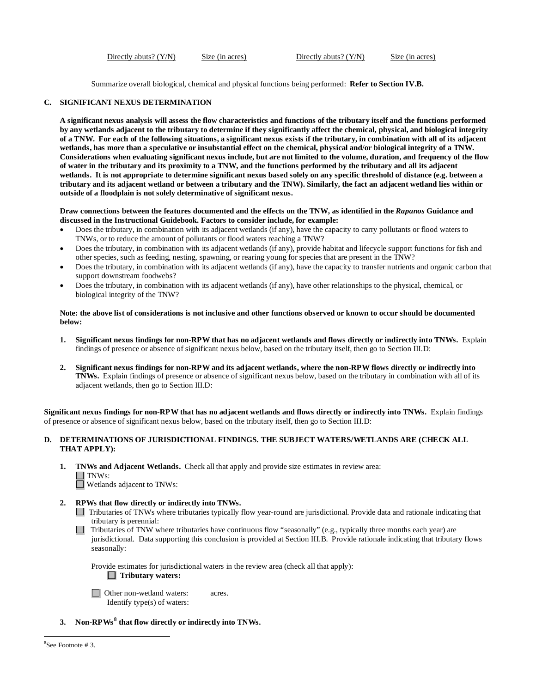Directly abuts? (Y/N) Size (in acres) Directly abuts? (Y/N) Size (in acres)

Summarize overall biological, chemical and physical functions being performed: **Refer to Section IV.B.**

# **C. SIGNIFICANT NEXUS DETERMINATION**

**A significant nexus analysis will assess the flow characteristics and functions of the tributary itself and the functions performed by any wetlands adjacent to the tributary to determine if they significantly affect the chemical, physical, and biological integrity of a TNW. For each of the following situations, a significant nexus exists if the tributary, in combination with all of its adjacent wetlands, has more than a speculative or insubstantial effect on the chemical, physical and/or biological integrity of a TNW. Considerations when evaluating significant nexus include, but are not limited to the volume, duration, and frequency of the flow of water in the tributary and its proximity to a TNW, and the functions performed by the tributary and all its adjacent wetlands. It is not appropriate to determine significant nexus based solely on any specific threshold of distance (e.g. between a tributary and its adjacent wetland or between a tributary and the TNW). Similarly, the fact an adjacent wetland lies within or outside of a floodplain is not solely determinative of significant nexus.** 

**Draw connections between the features documented and the effects on the TNW, as identified in the** *Rapanos* **Guidance and discussed in the Instructional Guidebook. Factors to consider include, for example:**

- Does the tributary, in combination with its adjacent wetlands (if any), have the capacity to carry pollutants or flood waters to TNWs, or to reduce the amount of pollutants or flood waters reaching a TNW?
- Does the tributary, in combination with its adjacent wetlands (if any), provide habitat and lifecycle support functions for fish and other species, such as feeding, nesting, spawning, or rearing young for species that are present in the TNW?
- Does the tributary, in combination with its adjacent wetlands (if any), have the capacity to transfer nutrients and organic carbon that support downstream foodwebs?
- Does the tributary, in combination with its adjacent wetlands (if any), have other relationships to the physical, chemical, or biological integrity of the TNW?

# **Note: the above list of considerations is not inclusive and other functions observed or known to occur should be documented below:**

- **1. Significant nexus findings for non-RPW that has no adjacent wetlands and flows directly or indirectly into TNWs.** Explain findings of presence or absence of significant nexus below, based on the tributary itself, then go to Section III.D:
- **2. Significant nexus findings for non-RPW and its adjacent wetlands, where the non-RPW flows directly or indirectly into TNWs.** Explain findings of presence or absence of significant nexus below, based on the tributary in combination with all of its adjacent wetlands, then go to Section III.D:

**Significant nexus findings for non-RPW that has no adjacent wetlands and flows directly or indirectly into TNWs.** Explain findings of presence or absence of significant nexus below, based on the tributary itself, then go to Section III.D:

# **D. DETERMINATIONS OF JURISDICTIONAL FINDINGS. THE SUBJECT WATERS/WETLANDS ARE (CHECK ALL THAT APPLY):**

**1. TNWs and Adjacent Wetlands.** Check all that apply and provide size estimates in review area:  $\Box$  TNWs:

Wetlands adjacent to TNWs:

**2. RPWs that flow directly or indirectly into TNWs.**

Tributaries of TNWs where tributaries typically flow year-round are jurisdictional. Provide data and rationale indicating that tributary is perennial:

Tributaries of TNW where tributaries have continuous flow "seasonally" (e.g., typically three months each year) are jurisdictional. Data supporting this conclusion is provided at Section III.B. Provide rationale indicating that tributary flows seasonally:

Provide estimates for jurisdictional waters in the review area (check all that apply):  **Tributary waters:**

□ Other non-wetland waters: acres. Identify type(s) of waters:

<span id="page-4-0"></span>**3. Non-RPWs [8](#page-4-0) that flow directly or indirectly into TNWs.**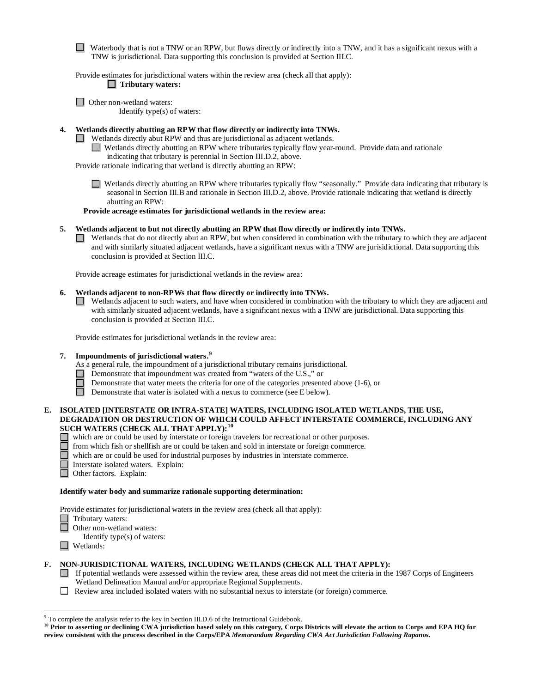Waterbody that is not a TNW or an RPW, but flows directly or indirectly into a TNW, and it has a significant nexus with a TNW is jurisdictional. Data supporting this conclusion is provided at Section III.C.

Provide estimates for jurisdictional waters within the review area (check all that apply):  **Tributary waters:**

□ Other non-wetland waters:

Identify type(s) of waters:

**4. Wetlands directly abutting an RPW that flow directly or indirectly into TNWs.** 

- Wetlands directly abut RPW and thus are jurisdictional as adjacent wetlands.
	- Wetlands directly abutting an RPW where tributaries typically flow year-round. Provide data and rationale

indicating that tributary is perennial in Section III.D.2, above.

Provide rationale indicating that wetland is directly abutting an RPW:

Wetlands directly abutting an RPW where tributaries typically flow "seasonally." Provide data indicating that tributary is seasonal in Section III.B and rationale in Section III.D.2, above. Provide rationale indicating that wetland is directly abutting an RPW:

**Provide acreage estimates for jurisdictional wetlands in the review area:**

**5. Wetlands adjacent to but not directly abutting an RPW that flow directly or indirectly into TNWs.**

 $\Box$  Wetlands that do not directly abut an RPW, but when considered in combination with the tributary to which they are adjacent and with similarly situated adjacent wetlands, have a significant nexus with a TNW are jurisidictional. Data supporting this conclusion is provided at Section III.C.

Provide acreage estimates for jurisdictional wetlands in the review area:

# **6. Wetlands adjacent to non-RPWs that flow directly or indirectly into TNWs.**

 $\Box$  Wetlands adjacent to such waters, and have when considered in combination with the tributary to which they are adjacent and with similarly situated adjacent wetlands, have a significant nexus with a TNW are jurisdictional. Data supporting this conclusion is provided at Section III.C.

Provide estimates for jurisdictional wetlands in the review area:

# **7. Impoundments of jurisdictional waters.[9](#page-5-0)**

As a general rule, the impoundment of a jurisdictional tributary remains jurisdictional.

Demonstrate that impoundment was created from "waters of the U.S.," or

- Demonstrate that water meets the criteria for one of the categories presented above (1-6), or
- $\Box$ Demonstrate that water is isolated with a nexus to commerce (see E below).

# **E. ISOLATED [INTERSTATE OR INTRA-STATE] WATERS, INCLUDING ISOLATED WETLANDS, THE USE, DEGRADATION OR DESTRUCTION OF WHICH COULD AFFECT INTERSTATE COMMERCE, INCLUDING ANY SUCH WATERS (CHECK ALL THAT APPLY):[10](#page-5-1)**

- which are or could be used by interstate or foreign travelers for recreational or other purposes.
	- from which fish or shellfish are or could be taken and sold in interstate or foreign commerce.
	- which are or could be used for industrial purposes by industries in interstate commerce.
	- Interstate isolated waters.Explain:
	- Other factors.Explain:

## **Identify water body and summarize rationale supporting determination:**

Provide estimates for jurisdictional waters in the review area (check all that apply):

- □ Tributary waters:
	- Other non-wetland waters:
	- Identify type(s) of waters:
- Wetlands:

# **F. NON-JURISDICTIONAL WATERS, INCLUDING WETLANDS (CHECK ALL THAT APPLY):**

- If potential wetlands were assessed within the review area, these areas did not meet the criteria in the 1987 Corps of Engineers Wetland Delineation Manual and/or appropriate Regional Supplements.
- Review area included isolated waters with no substantial nexus to interstate (or foreign) commerce.

<span id="page-5-0"></span> <sup>9</sup> To complete the analysis refer to the key in Section III.D.6 of the Instructional Guidebook.

<span id="page-5-1"></span><sup>&</sup>lt;sup>10</sup> Prior to asserting or declining CWA jurisdiction based solely on this category, Corps Districts will elevate the action to Corps and EPA HQ for **review consistent with the process described in the Corps/EPA** *Memorandum Regarding CWA Act Jurisdiction Following Rapanos.*